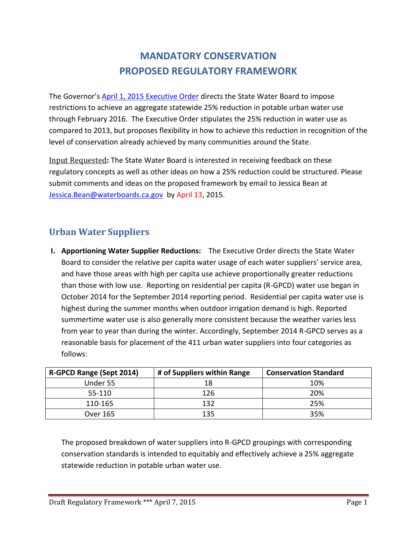# **MANDATORY CONSERVATION PROPOSED REGULATORY FRAMEWORK**

The Governor's [April 1, 2015 Executive Order](http://www.waterboards.ca.gov/waterrights/water_issues/programs/drought/docs/040115_executive_order.pdf) directs the State Water Board to impose restrictions to achieve an aggregate statewide 25% reduction in potable urban water use through February 2016. The Executive Order stipulates the 25% reduction in water use as compared to 2013, but proposes flexibility in how to achieve this reduction in recognition of the level of conservation already achieved by many communities around the State.

Input Requested**:** The State Water Board is interested in receiving feedback on these regulatory concepts as well as other ideas on how a 25% reduction could be structured. Please submit comments and ideas on the proposed framework by email to Jessica Bean at [Jessica.Bean@waterboards.ca.gov](mailto:Jessica.Bean@waterboards.ca.gov) by April 13, 2015.

## **Urban Water Suppliers**

**I. Apportioning Water Supplier Reductions:** The Executive Order directs the State Water Board to consider the relative per capita water usage of each water suppliers' service area, and have those areas with high per capita use achieve proportionally greater reductions than those with low use. Reporting on residential per capita (R-GPCD) water use began in October 2014 for the September 2014 reporting period. Residential per capita water use is highest during the summer months when outdoor irrigation demand is high. Reported summertime water use is also generally more consistent because the weather varies less from year to year than during the winter. Accordingly, September 2014 R-GPCD serves as a reasonable basis for placement of the 411 urban water suppliers into four categories as follows:

| R-GPCD Range (Sept 2014) | # of Suppliers within Range | <b>Conservation Standard</b> |
|--------------------------|-----------------------------|------------------------------|
| Under 55                 | 18                          | 10%                          |
| 55-110                   | 126                         | 20%                          |
| 110-165                  | 132                         | 25%                          |
| Over 165                 | 135                         | 35%                          |

The proposed breakdown of water suppliers into R-GPCD groupings with corresponding conservation standards is intended to equitably and effectively achieve a 25% aggregate statewide reduction in potable urban water use.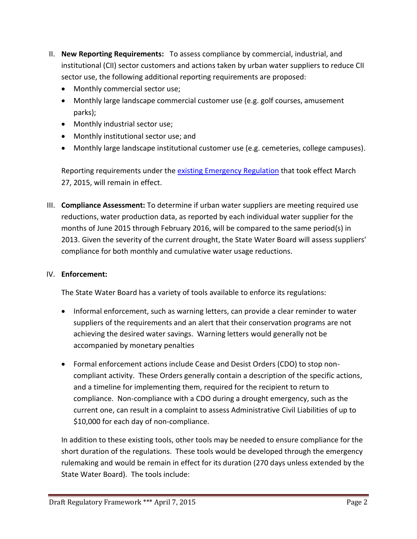- II. **New Reporting Requirements:** To assess compliance by commercial, industrial, and institutional (CII) sector customers and actions taken by urban water suppliers to reduce CII sector use, the following additional reporting requirements are proposed:
	- Monthly commercial sector use;
	- Monthly large landscape commercial customer use (e.g. golf courses, amusement parks);
	- Monthly industrial sector use;
	- Monthly institutional sector use; and
	- Monthly large landscape institutional customer use (e.g. cemeteries, college campuses).

Reporting requirements under the [existing Emergency Regulation](http://www.waterboards.ca.gov/waterrights/water_issues/programs/drought/emergency_regulations_waterconservation.shtml) that took effect March 27, 2015, will remain in effect.

III. **Compliance Assessment:** To determine if urban water suppliers are meeting required use reductions, water production data, as reported by each individual water supplier for the months of June 2015 through February 2016, will be compared to the same period(s) in 2013. Given the severity of the current drought, the State Water Board will assess suppliers' compliance for both monthly and cumulative water usage reductions.

#### IV. **Enforcement:**

The State Water Board has a variety of tools available to enforce its regulations:

- Informal enforcement, such as warning letters, can provide a clear reminder to water suppliers of the requirements and an alert that their conservation programs are not achieving the desired water savings. Warning letters would generally not be accompanied by monetary penalties
- Formal enforcement actions include Cease and Desist Orders (CDO) to stop noncompliant activity. These Orders generally contain a description of the specific actions, and a timeline for implementing them, required for the recipient to return to compliance. Non-compliance with a CDO during a drought emergency, such as the current one, can result in a complaint to assess Administrative Civil Liabilities of up to \$10,000 for each day of non-compliance.

In addition to these existing tools, other tools may be needed to ensure compliance for the short duration of the regulations. These tools would be developed through the emergency rulemaking and would be remain in effect for its duration (270 days unless extended by the State Water Board). The tools include: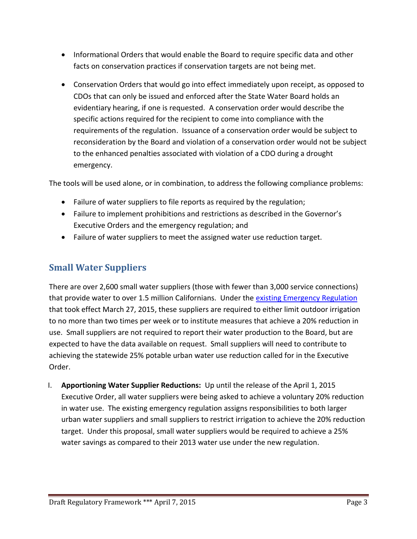- Informational Orders that would enable the Board to require specific data and other facts on conservation practices if conservation targets are not being met.
- Conservation Orders that would go into effect immediately upon receipt, as opposed to CDOs that can only be issued and enforced after the State Water Board holds an evidentiary hearing, if one is requested. A conservation order would describe the specific actions required for the recipient to come into compliance with the requirements of the regulation. Issuance of a conservation order would be subject to reconsideration by the Board and violation of a conservation order would not be subject to the enhanced penalties associated with violation of a CDO during a drought emergency.

The tools will be used alone, or in combination, to address the following compliance problems:

- Failure of water suppliers to file reports as required by the regulation;
- Failure to implement prohibitions and restrictions as described in the Governor's Executive Orders and the emergency regulation; and
- Failure of water suppliers to meet the assigned water use reduction target.

### **Small Water Suppliers**

There are over 2,600 small water suppliers (those with fewer than 3,000 service connections) that provide water to over 1.5 million Californians. Under the existing [Emergency Regulation](http://www.waterboards.ca.gov/waterrights/water_issues/programs/drought/emergency_regulations_waterconservation.shtml) that took effect March 27, 2015, these suppliers are required to either limit outdoor irrigation to no more than two times per week or to institute measures that achieve a 20% reduction in use. Small suppliers are not required to report their water production to the Board, but are expected to have the data available on request. Small suppliers will need to contribute to achieving the statewide 25% potable urban water use reduction called for in the Executive Order.

I. **Apportioning Water Supplier Reductions:** Up until the release of the April 1, 2015 Executive Order, all water suppliers were being asked to achieve a voluntary 20% reduction in water use. The existing emergency regulation assigns responsibilities to both larger urban water suppliers and small suppliers to restrict irrigation to achieve the 20% reduction target. Under this proposal, small water suppliers would be required to achieve a 25% water savings as compared to their 2013 water use under the new regulation.